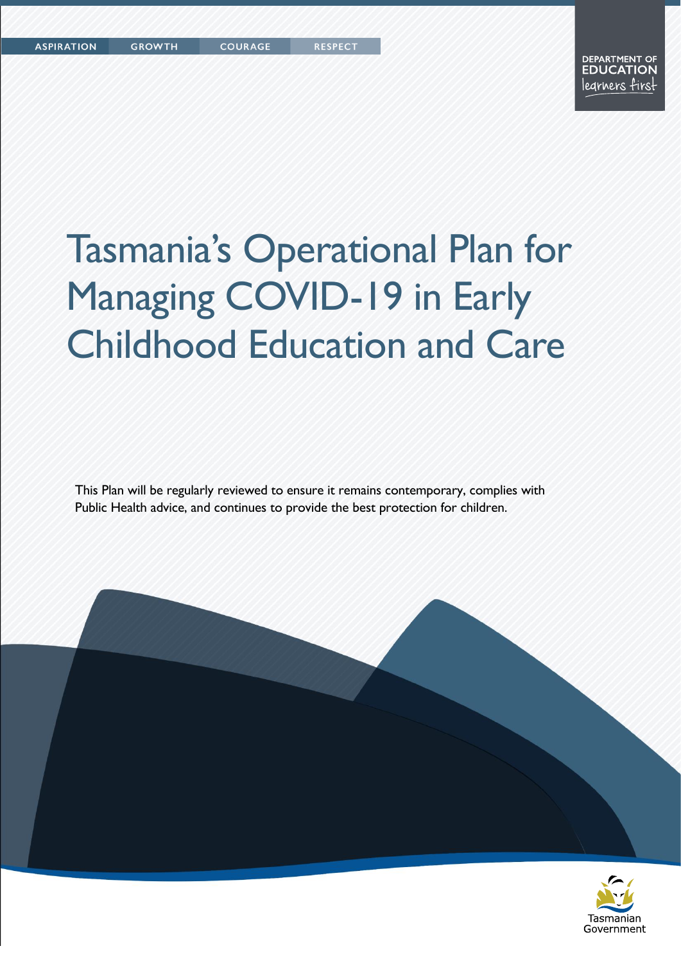Tasmanian Government

# Tasmania's Operational Plan for Managing COVID-19 in Early Childhood Education and Care

This Plan will be regularly reviewed to ensure it remains contemporary, complies with Public Health advice, and continues to provide the best protection for children.

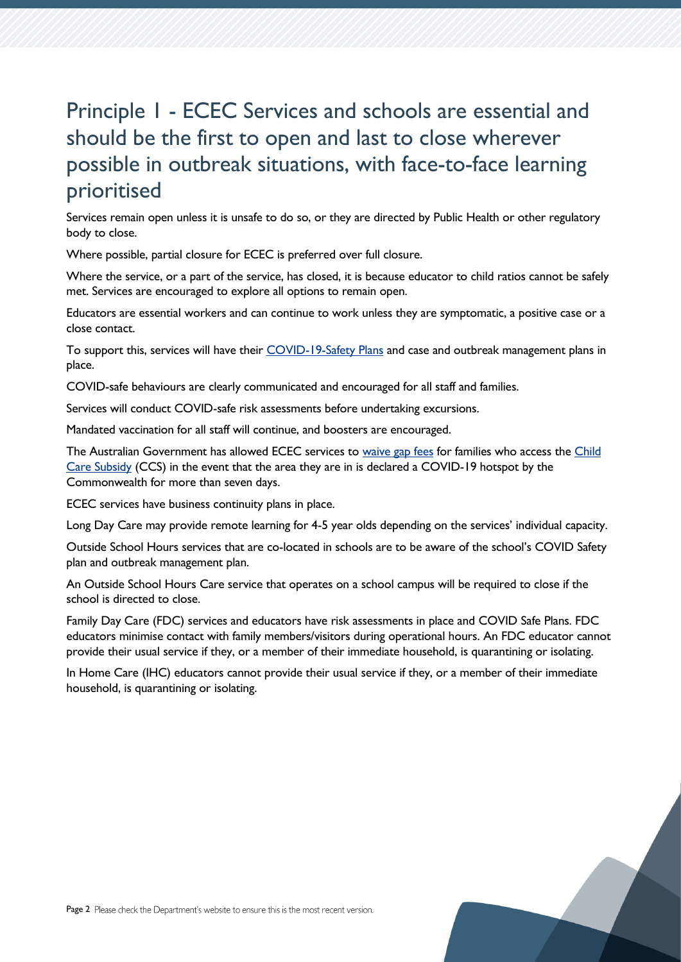## Principle 1 - ECEC Services and schools are essential and should be the first to open and last to close wherever possible in outbreak situations, with face-to-face learning prioritised

Services remain open unless it is unsafe to do so, or they are directed by Public Health or other regulatory body to close.

Where possible, partial closure for ECEC is preferred over full closure.

Where the service, or a part of the service, has closed, it is because educator to child ratios cannot be safely met. Services are encouraged to explore all options to remain open.

Educators are essential workers and can continue to work unless they are symptomatic, a positive case or a close contact.

To support this, services will have their [COVID-19-Safety Plans](https://www.coronavirus.tas.gov.au/business-and-employees/covid-19-case-and-outbreak-management/covid-19-safety-plans) and case and outbreak management plans in place.

COVID-safe behaviours are clearly communicated and encouraged for all staff and families.

Services will conduct COVID-safe risk assessments before undertaking excursions.

Mandated vaccination for all staff will continue, and boosters are encouraged.

The Australian Government has allowed ECEC services to [waive gap fees](https://ministers.dese.gov.au/tudge/child-care-gap-fee-waivers-available-more-australian-families) for families who access the Child [Care Subsidy](https://www.servicesaustralia.gov.au/individuals/services/centrelink/child-care-subsidy) (CCS) in the event that the area they are in is declared a COVID-19 hotspot by the Commonwealth for more than seven days.

ECEC services have business continuity plans in place.

Long Day Care may provide remote learning for 4-5 year olds depending on the services' individual capacity.

Outside School Hours services that are co-located in schools are to be aware of the school's COVID Safety plan and outbreak management plan.

An Outside School Hours Care service that operates on a school campus will be required to close if the school is directed to close.

Family Day Care (FDC) services and educators have risk assessments in place and COVID Safe Plans. FDC educators minimise contact with family members/visitors during operational hours. An FDC educator cannot provide their usual service if they, or a member of their immediate household, is quarantining or isolating.

In Home Care (IHC) educators cannot provide their usual service if they, or a member of their immediate household, is quarantining or isolating.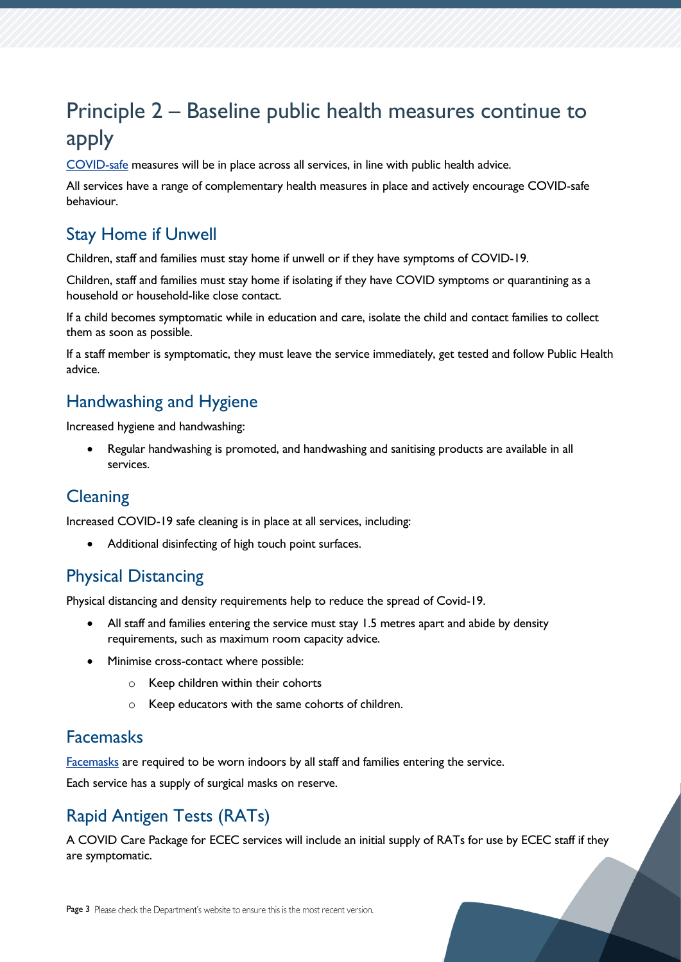# Principle 2 – Baseline public health measures continue to apply

[COVID-safe](https://www.coronavirus.tas.gov.au/keeping-yourself-safe) measures will be in place across all services, in line with public health advice.

All services have a range of complementary health measures in place and actively encourage COVID-safe behaviour.

#### Stay Home if Unwell

Children, staff and families must stay home if unwell or if they have symptoms of COVID-19.

Children, staff and families must stay home if isolating if they have COVID symptoms or quarantining as a household or household-like close contact.

If a child becomes symptomatic while in education and care, isolate the child and contact families to collect them as soon as possible.

If a staff member is symptomatic, they must leave the service immediately, get tested and follow Public Health advice.

#### Handwashing and Hygiene

Increased hygiene and handwashing:

• Regular handwashing is promoted, and handwashing and sanitising products are available in all services.

#### **Cleaning**

Increased COVID-19 safe cleaning is in place at all services, including:

Additional disinfecting of high touch point surfaces.

#### Physical Distancing

Physical distancing and density requirements help to reduce the spread of Covid-19.

- All staff and families entering the service must stay 1.5 metres apart and abide by density requirements, such as maximum room capacity advice.
- Minimise cross-contact where possible:
	- o Keep children within their cohorts
	- o Keep educators with the same cohorts of children.

#### Facemasks

[Facemasks](https://www.coronavirus.tas.gov.au/keeping-yourself-safe/face-masks) are required to be worn indoors by all staff and families entering the service.

Each service has a supply of surgical masks on reserve.

## Rapid Antigen Tests (RATs)

A COVID Care Package for ECEC services will include an initial supply of RATs for use by ECEC staff if they are symptomatic.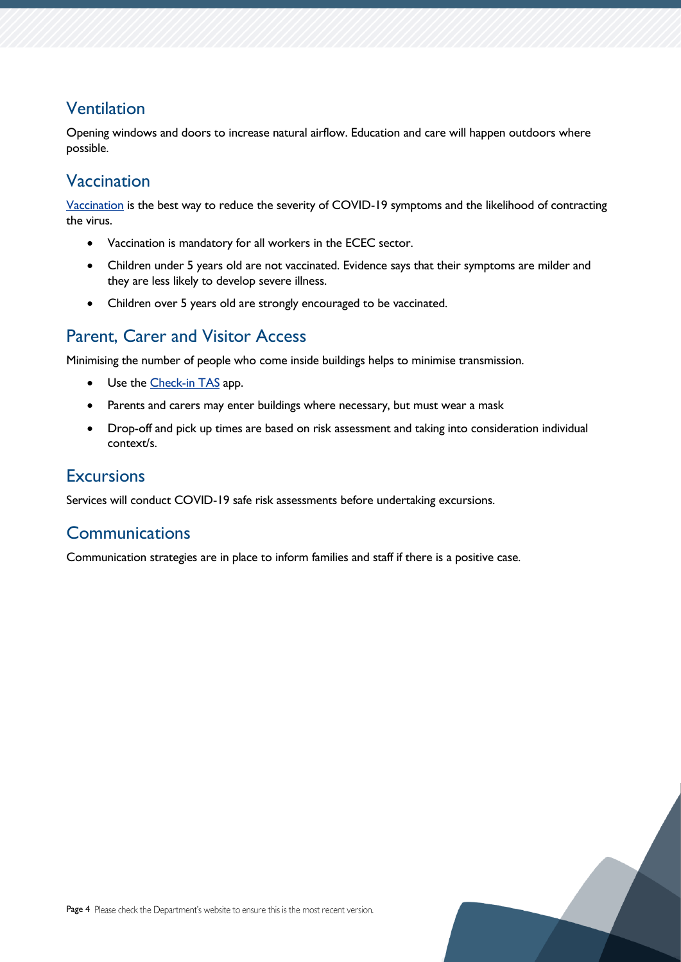### Ventilation

Opening windows and doors to increase natural airflow. Education and care will happen outdoors where possible.

#### Vaccination

[Vaccination](https://www.coronavirus.tas.gov.au/__data/assets/pdf_file/0031/197059/Vaccination-requirements-in-relation-to-Early-Childhood-Facilities-No.-1.pdf) is the best way to reduce the severity of COVID-19 symptoms and the likelihood of contracting the virus.

- Vaccination is mandatory for all workers in the ECEC sector.
- Children under 5 years old are not vaccinated. Evidence says that their symptoms are milder and they are less likely to develop severe illness.
- Children over 5 years old are strongly encouraged to be vaccinated.

## Parent, Carer and Visitor Access

Minimising the number of people who come inside buildings helps to minimise transmission.

- Use the [Check-in TAS](https://www.coronavirus.tas.gov.au/check-in-tas) app.
- Parents and carers may enter buildings where necessary, but must wear a mask
- Drop-off and pick up times are based on risk assessment and taking into consideration individual context/s.

#### **Excursions**

Services will conduct COVID-19 safe risk assessments before undertaking excursions.

#### **Communications**

Communication strategies are in place to inform families and staff if there is a positive case.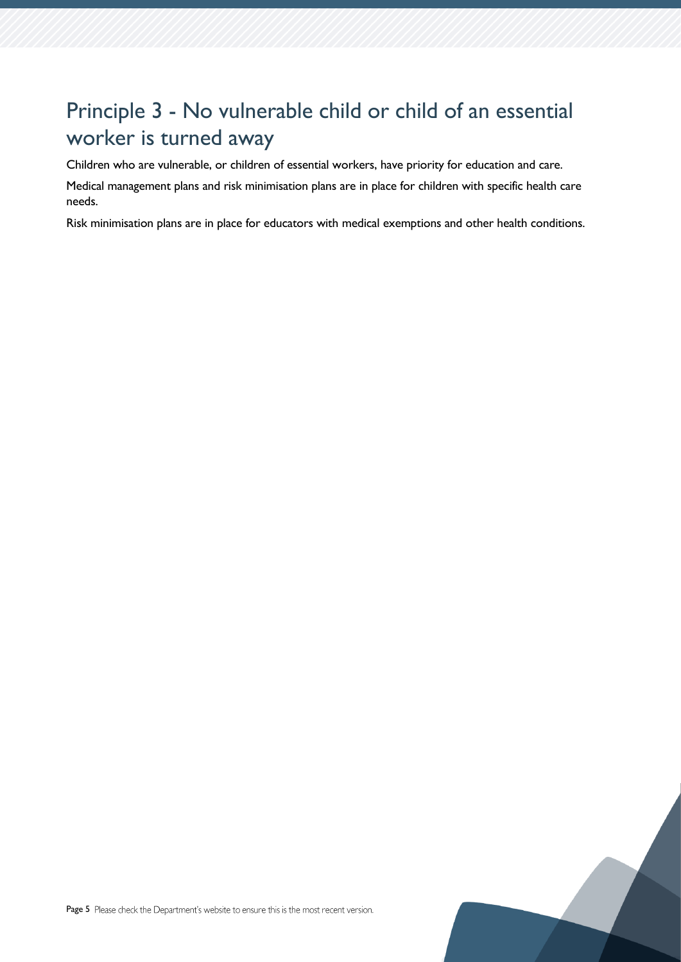## Principle 3 - No vulnerable child or child of an essential worker is turned away

Children who are vulnerable, or children of essential workers, have priority for education and care.

Medical management plans and risk minimisation plans are in place for children with specific health care needs.

Risk minimisation plans are in place for educators with medical exemptions and other health conditions.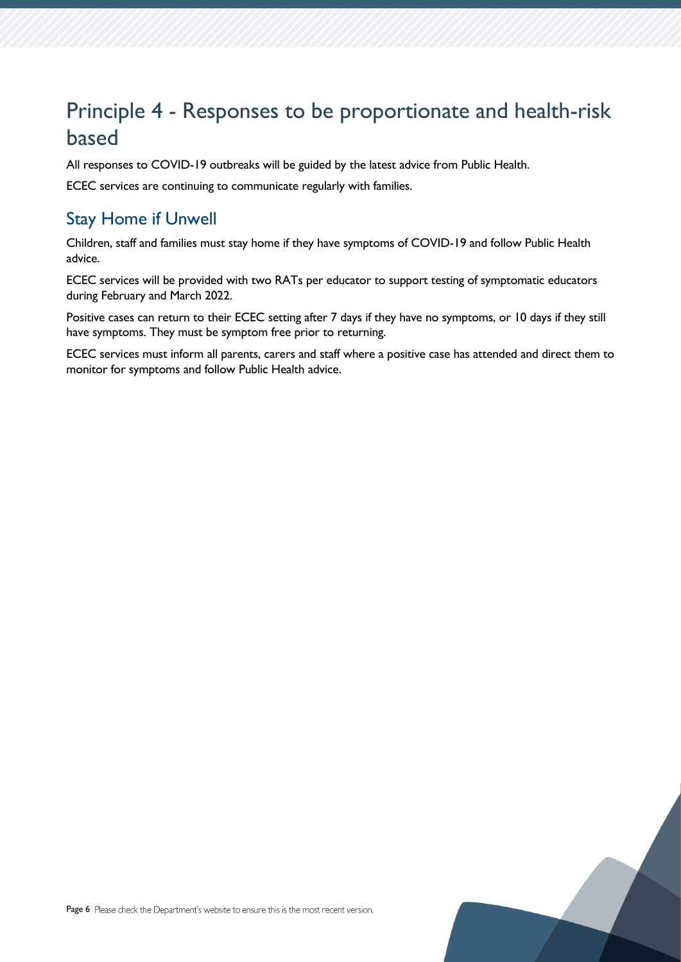## Principle 4 - Responses to be proportionate and health-risk based

All responses to COVID-19 outbreaks will be guided by the latest advice from Public Health.

ECEC services are continuing to communicate regularly with families.

### Stay Home if Unwell

Children, staff and families must stay home if they have symptoms of COVID-19 and follow Public Health advice.

ECEC services will be provided with two RATs per educator to support testing of symptomatic educators during February and March 2022.

Positive cases can return to their ECEC setting after 7 days if they have no symptoms, or 10 days if they still have symptoms. They must be symptom free prior to returning.

ECEC services must inform all parents, carers and staff where a positive case has attended and direct them to monitor for symptoms and follow Public Health advice.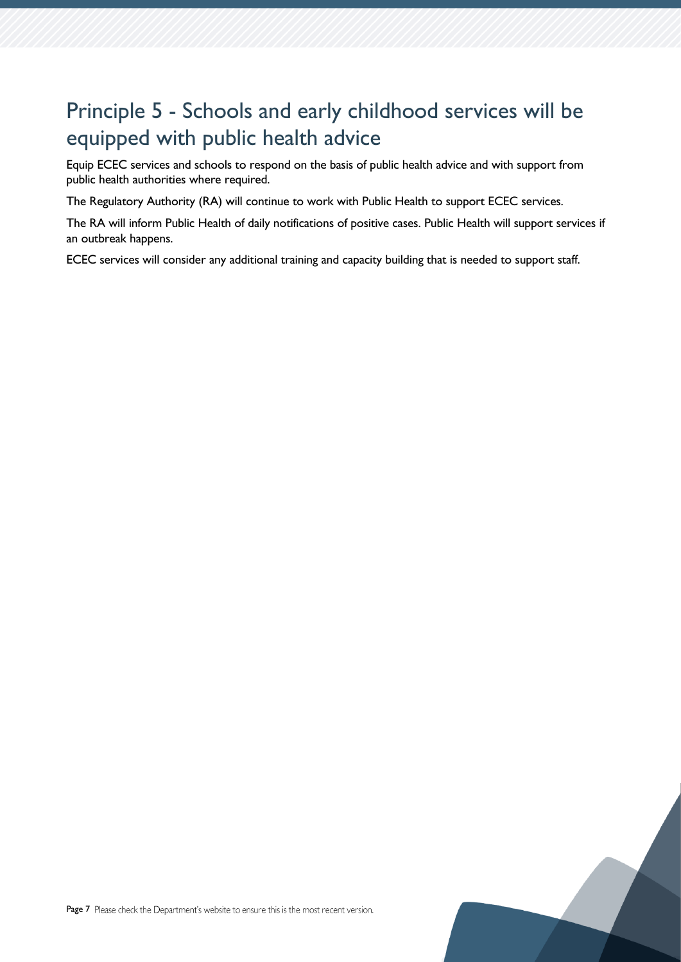## Principle 5 - Schools and early childhood services will be equipped with public health advice

Equip ECEC services and schools to respond on the basis of public health advice and with support from public health authorities where required.

The Regulatory Authority (RA) will continue to work with Public Health to support ECEC services.

The RA will inform Public Health of daily notifications of positive cases. Public Health will support services if an outbreak happens.

ECEC services will consider any additional training and capacity building that is needed to support staff.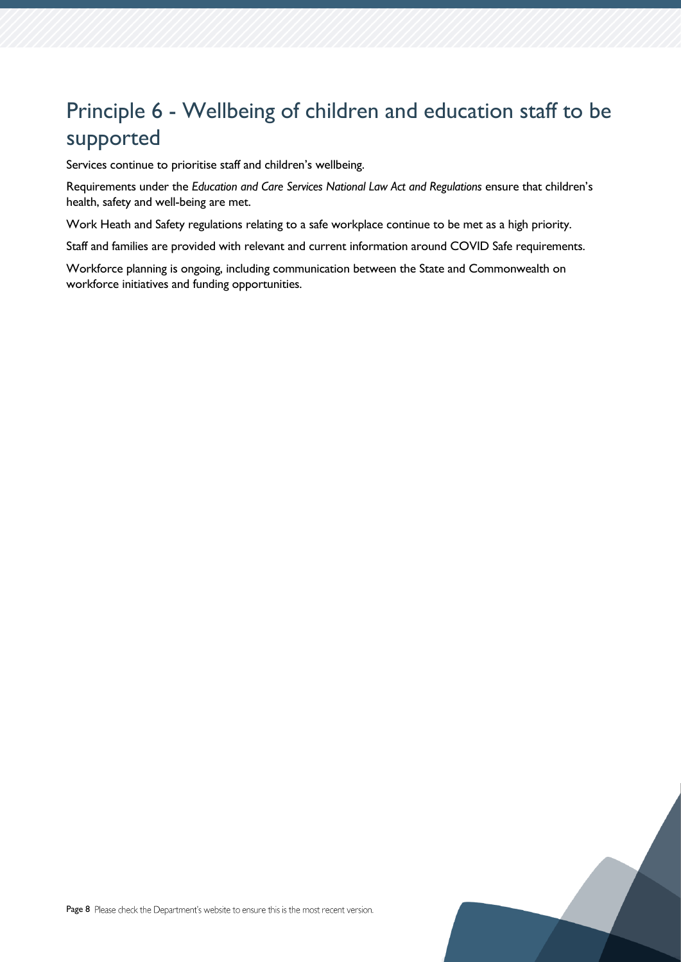# Principle 6 - Wellbeing of children and education staff to be supported

Services continue to prioritise staff and children's wellbeing.

Requirements under the *Education and Care Services National Law Act and Regulations* ensure that children's health, safety and well-being are met.

Work Heath and Safety regulations relating to a safe workplace continue to be met as a high priority.

Staff and families are provided with relevant and current information around COVID Safe requirements.

Workforce planning is ongoing, including communication between the State and Commonwealth on workforce initiatives and funding opportunities.